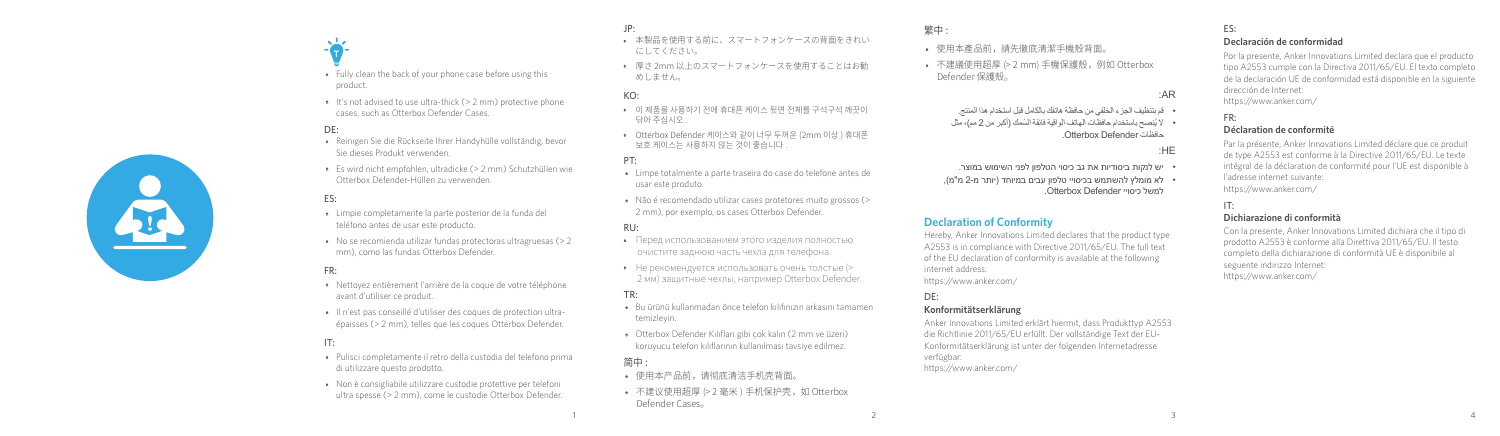- **T** • Fully clean the back of your phone case before using this product.
- It's not advised to use ultra-thick (> 2 mm) protective phone cases, such as Otterbox Defender Cases.

# DE:

- Reinigen Sie die Rückseite Ihrer Handyhülle vollständig, bevor Sie dieses Produkt verwenden.
- Es wird nicht empfohlen, ultradicke (> 2 mm) Schutzhüllen wie Otterbox Defender-Hüllen zu verwenden.

# ES:

- Limpie completamente la parte posterior de la funda del teléfono antes de usar este producto.
- No se recomienda utilizar fundas protectoras ultragruesas (> 2 mm), como las fundas Otterbox Defender.

# FR:

- Nettoyez entièrement l'arrière de la coque de votre téléphone avant d'utiliser ce produit.
- Il n'est pas conseillé d'utiliser des coques de protection ultraépaisses (> 2 mm), telles que les coques Otterbox Defender.

# IT:

- Pulisci completamente il retro della custodia del telefono prima di utilizzare questo prodotto.
- Non è consigliabile utilizzare custodie protettive per telefoni ultra spesse (> 2 mm), come le custodie Otterbox Defender.
- JP:
- 本製品を使用する前に、スマートフォンケースの背面をきれい にしてください。
- 厚さ 2mm 以上のスマートフォンケースを使用することはお勧 めしません。

## KO:

- 이 제품을 사용하기 전에 휴대폰 케이스 뒷면 전체를 구석구석 깨끗이 닦아 주십시오 .
- Otterbox Defender 케이스와 같이 너무 두꺼운 (2mm 이상 ) 휴대폰 보호 케이스는 사용하지 않는 것이 좋습니다 .

#### PT:

- Limpe totalmente a parte traseira do case do telefone antes de usar este produto.
- Não é recomendado utilizar cases protetores muito grossos (> 2 mm), por exemplo, os cases Otterbox Defender.

## RU:

- Перед использованием этого изделия полностью очистите заднюю часть чехла для телефона.
- Не рекомендуется использовать очень толстые (> 2 мм) защитные чехлы, например Otterbox Defender.

#### TR:

- Bu ürünü kullanmadan önce telefon kılıfınızın arkasını tamamen temizleyin.
- Otterbox Defender Kılıfları gibi çok kalın (2 mm ve üzeri) koruyucu telefon kılıflarının kullanılması tavsiye edilmez.

#### 简中 :

- 使用本产品前,请彻底清洁手机壳背面。
- 不建议使用超厚 (> 2 毫米 ) 手机保护壳, 如 Otterbox Defender Cases。

# 繁中 :

- 使用本產品前,請先徹底清潔手機殼背面。
- 不建議使用超厚 (> 2 mm) 手機保護殼,例如 Otterbox Defender 保護殼。

## :AR

 قم بتنظيف الجزء الخلفي من حافظة هاتفك بالكامل قبل استخدام هذا المنتج. ُال ي ُ نصح باستخدام حافظات الهاتف الواقية فائقة السمك )أكبر من 2 مم(، مثل

.Otterbox Defender حافظات

## :HE

- יש לנקות ביסודיות את גב כיסוי הטלפון לפני השימוש במוצר.
- לא מומלץ להשתמש בכיסויי טלפון עבים במיוחד )יותר מ2- מ"מ(, למשל כיסויי Defender Otterbox.

# **Declaration of Conformity**

Hereby, Anker Innovations Limited declares that the product type A2553 is in compliance with Directive 2011/65/EU. The full text of the EU declaration of conformity is available at the following internet address: https://www.anker.com/

## DE:

## **Konformitätserklärung**

Anker Innovations Limited erklärt hiermit, dass Produkttyp A2553 die Richtlinie 2011/65/EU erfüllt. Der vollständige Text der EU-Konformitätserklärung ist unter der folgenden Internetadresse verfügbar: https://www.anker.com/

1  $\frac{2}{3}$  4

#### ES: **Declaración de conformidad**

Por la presente, Anker Innovations Limited declara que el producto tipo A2553 cumple con la Directiva 2011/65/EU. El texto completo de la declaración UE de conformidad está disponible en la siguiente dirección de Internet: https://www.anker.com/

## FR:

## **Déclaration de conformité**

Par la présente, Anker Innovations Limited déclare que ce produit de type A2553 est conforme à la Directive 2011/65/EU. Le texte intégral de la déclaration de conformité pour l'UE est disponible à l'adresse internet suivante: https://www.anker.com/

#### IT: **Dichiarazione di conformità**

Con la presente, Anker Innovations Limited dichiara che il tipo di prodotto A2553 è conforme alla Direttiva 2011/65/EU. Il testo completo della dichiarazione di conformità UE è disponibile al seguente indirizzo Internet: https://www.anker.com/